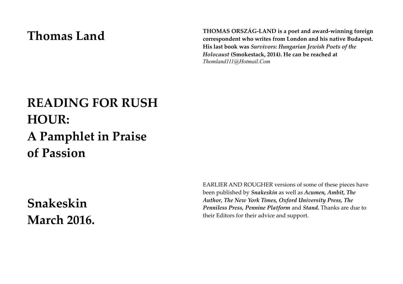# **Thomas Land**

**THOMAS ORSZÁG-LAND is a poet and award-winning foreign correspondent who writes from London and his native Budapest. His last book was** *Survivors: Hungarian Jewish Poets of the Holocaust* **(Smokestack, 2014). He can be reached at**  *Thomland111@Hotmail.Com*

# **READING FOR RUSH HOUR: A Pamphlet in Praise of Passion**

**Snakeskin March 2016.** EARLIER AND ROUGHER versions of some of these pieces have been published by *Snakeskin* as well as *Acumen, Ambit, The Author, The New York Times, Oxford University Press, The Penniless Press, Pennine Platform* and *Stand.* Thanks are due to their Editors for their advice and support.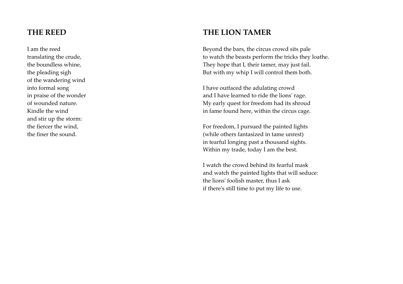#### **THE REED**

I am the reed translating the crude, the boundless whine, the pleading sigh of the wandering wind into formal song in praise of the wonder of wounded nature. Kindle the wind and stir up the storm: the fiercer the wind, the finer the sound.

#### **THE LION TAMER**

Beyond the bars, the circus crowd sits pale to watch the beasts perform the tricks they loathe. They hope that I, their tamer, may just fail. But with my whip I will control them both.

I have outfaced the adulating crowd and I have learned to ride the lions' rage. My early quest for freedom had its shroud in fame found here, within the circus cage.

For freedom, I pursued the painted lights (while others fantasized in tame unrest) in tearful longing past a thousand sights. Within my trade, today I am the best.

I watch the crowd behind its fearful mask and watch the painted lights that will seduce: the lions' foolish master, thus I ask if there's still time to put my life to use.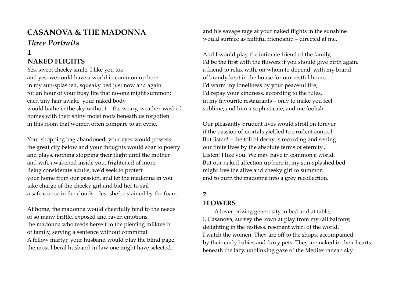# **CASANOVA & THE MADONNA** *Three Portraits*

# **1**

#### **NAKED FLIGHTS**

Yes, sweet cheeky smile, I like you too, and yes, we could have a world in common up here in my sun-splashed, squeaky bed just now and again for an hour of your busy life that no-one might summon; each tiny hair awake, your naked body would bathe in the sky without – the weary, weather-washed homes with their shiny moist roofs beneath us forgotten in this room that women often compare to an eyrie.

Your shopping bag abandoned, your eyes would possess the great city below and your thoughts would soar to poetry and plays, nothing stopping their flight until the mother and wife awakened inside you, frightened of more. Being considerate adults, we'd seek to protect your home from our passion, and let the madonna in you take charge of the cheeky girl and bid her to sail a safe course in the clouds – lest she be stained by the foam.

At home, the madonna would cheerfully tend to the needs of so many brittle, exposed and raven emotions, the madonna who feeds herself to the piercing milkteeth of family, serving a sentence without committal. A fellow martyr, your husband would play the blind page, the most liberal husband-in-law one might have selected,

and his savage rage at your naked flights in the sunshine would surface as faithful friendship – directed at me.

And I would play the intimate friend of the family, I'd be the first with the flowers if you should give birth again, a friend to relax with, on whom to depend, with my brand of brandy kept in the house for our restful hours. I'd warm my loneliness by your peaceful fire; I'd repay your kindness, according to the rules, in my favourite restaurants – only to make you feel sublime, and him a sophisticate, and me foolish.

Our pleasantly prudent lives would stroll on forever if the passion of mortals yielded to prudent control. But listen! – the toll of decay is recording and setting our finite lives by the absolute terms of eternity... Listen! I like you. We may have in common a world. But our naked affection up here in my sun-splashed bed might free the alive and cheeky girl to summon and to burn the madonna into a grey recollection.

#### **2**

#### **FLOWERS**

A lover prizing generosity in bed and at table, I, Casanova, survey the town at play from my tall balcony, delighting in the restless, resonant whirl of the world. I watch the women. They are off to the shops, accompanied by their curly babies and furry pets. They are naked in their hearts beneath the lazy, unblinking gaze of the Mediterranean sky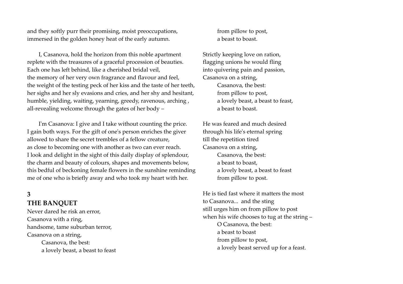and they softly purr their promising, moist preoccupations, immersed in the golden honey heat of the early autumn.

I, Casanova, hold the horizon from this noble apartment replete with the treasures of a graceful procession of beauties. Each one has left behind, like a cherished bridal veil, the memory of her very own fragrance and flavour and feel, the weight of the testing peck of her kiss and the taste of her teeth, her sighs and her sly evasions and cries, and her shy and hesitant, humble, yielding, waiting, yearning, greedy, ravenous, arching , all-revealing welcome through the gates of her body –

I'm Casanova: I give and I take without counting the price. I gain both ways*.* For the gift of one's person enriches the giver allowed to share the secret trembles of a fellow creature, as close to becoming one with another as two can ever reach. I look and delight in the sight of this daily display of splendour, the charm and beauty of colours, shapes and movements below, this bedful of beckoning female flowers in the sunshine reminding me of one who is briefly away and who took my heart with her.

#### **3**

#### **THE BANQUET**

Never dared he risk an error, Casanova with a ring, handsome, tame suburban terror, Casanova on a string, Casanova, the best: a lovely beast, a beast to feast from pillow to post, a beast to boast.

Strictly keeping love on ration, flagging unions he would fling into quivering pain and passion, Casanova on a string, Casanova, the best: from pillow to post, a lovely beast, a beast to feast, a beast to boast.

He was feared and much desired through his life's eternal spring till the repetition tired Casanova on a string, Casanova, the best: a beast to boast, a lovely beast, a beast to feast from pillow to post.

He is tied fast where it matters the most to Casanova... and the sting still urges him on from pillow to post when his wife chooses to tug at the string – O Casanova, the best: a beast to boast from pillow to post, a lovely beast served up for a feast.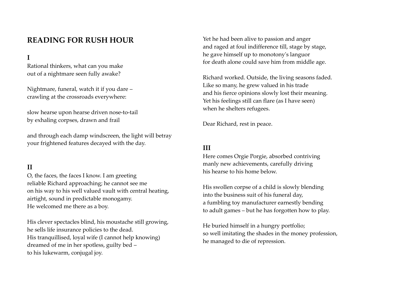## **READING FOR RUSH HOUR**

**I**

Rational thinkers, what can you make out of a nightmare seen fully awake?

Nightmare, funeral, watch it if you dare – crawling at the crossroads everywhere:

slow hearse upon hearse driven nose-to-tail by exhaling corpses, drawn and frail

and through each damp windscreen, the light will betray your frightened features decayed with the day.

#### **II**

O, the faces, the faces I know. I am greeting reliable Richard approaching; he cannot see me on his way to his well valued vault with central heating, airtight, sound in predictable monogamy. He welcomed me there as a boy.

His clever spectacles blind, his moustache still growing, he sells life insurance policies to the dead. His tranquillised, loyal wife (I cannot help knowing) dreamed of me in her spotless, guilty bed – to his lukewarm, conjugal joy.

Yet he had been alive to passion and anger and raged at foul indifference till, stage by stage, he gave himself up to monotony's languor for death alone could save him from middle age.

Richard worked. Outside, the living seasons faded. Like so many, he grew valued in his trade and his fierce opinions slowly lost their meaning. Yet his feelings still can flare (as I have seen) when he shelters refugees.

Dear Richard, rest in peace.

#### **III**

Here comes Orgie Porgie, absorbed contriving manly new achievements, carefully driving his hearse to his home below.

His swollen corpse of a child is slowly blending into the business suit of his funeral day, a fumbling toy manufacturer earnestly bending to adult games – but he has forgotten how to play.

He buried himself in a hungry portfolio; so well imitating the shades in the money profession, he managed to die of repression.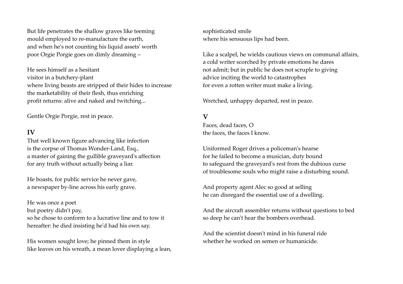But life penetrates the shallow graves like teeming mould employed to re-manufacture the earth, and when he's not counting his liquid assets' worth poor Orgie Porgie goes on dimly dreaming –

He sees himself as a hesitant visitor in a butchery-plant where living beasts are stripped of their hides to increase the marketability of their flesh, thus enriching profit returns: alive and naked and twitching...

Gentle Orgie Porgie, rest in peace.

#### **IV**

That well known figure advancing like infection is the corpse of Thomas Wonder-Land, Esq., a master of gaining the gullible graveyard's affection for any truth without actually being a liar.

He boasts, for public service he never gave, a newspaper by-line across his early grave.

He was once a poet but poetry didn't pay, so he chose to conform to a lucrative line and to tow it hereafter: he died insisting he'd had his own say.

His women sought love; he pinned them in style like leaves on his wreath, a mean lover displaying a lean, sophisticated smile where his sensuous lips had been.

Like a scalpel, he wields cautious views on communal affairs, a cold writer scorched by private emotions he dares not admit; but in public he does not scruple to giving advice inciting the world to catastrophes for even a rotten writer must make a living.

Wretched, unhappy departed, rest in peace.

#### **V**

Faces, dead faces, O the faces, the faces I know.

Uniformed Roger drives a policeman's hearse for he failed to become a musician, duty bound to safeguard the graveyard's rest from the dubious curse of troublesome souls who might raise a disturbing sound.

And property agent Alec so good at selling he can disregard the essential use of a dwelling.

And the aircraft assembler returns without questions to bed so deep he can't hear the bombers overhead.

And the scientist doesn't mind in his funeral ride whether he worked on semen or humanicide.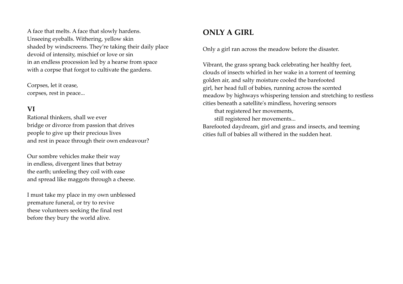A face that melts. A face that slowly hardens. Unseeing eyeballs. Withering, yellow skin shaded by windscreens. They're taking their daily place devoid of intensity, mischief or love or sin in an endless procession led by a hearse from space with a corpse that forgot to cultivate the gardens.

Corpses, let it cease, corpses, rest in peace...

#### **VI**

Rational thinkers, shall we ever bridge or divorce from passion that drives people to give up their precious lives and rest in peace through their own endeavour?

Our sombre vehicles make their way in endless, divergent lines that betray the earth; unfeeling they coil with ease and spread like maggots through a cheese.

I must take my place in my own unblessed premature funeral, or try to revive these volunteers seeking the final rest before they bury the world alive.

### **ONLY A GIRL**

Only a girl ran across the meadow before the disaster.

Vibrant, the grass sprang back celebrating her healthy feet, clouds of insects whirled in her wake in a torrent of teeming golden air, and salty moisture cooled the barefooted girl, her head full of babies, running across the scented meadow by highways whispering tension and stretching to restless cities beneath a satellite's mindless, hovering sensors

that registered her movements, still registered her movements...

Barefooted daydream, girl and grass and insects, and teeming cities full of babies all withered in the sudden heat.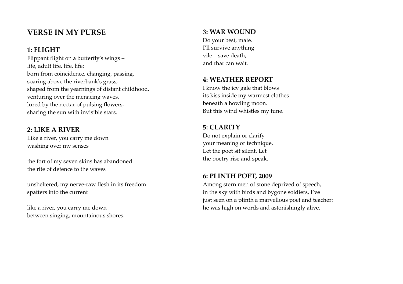### **VERSE IN MY PURSE**

#### **1: FLIGHT**

Flippant flight on a butterfly's wings – life, adult life, life, life: born from coincidence, changing, passing, soaring above the riverbank's grass, shaped from the yearnings of distant childhood, venturing over the menacing waves, lured by the nectar of pulsing flowers, sharing the sun with invisible stars.

#### **2: LIKE A RIVER**

Like a river, you carry me down washing over my senses

the fort of my seven skins has abandoned the rite of defence to the waves

unsheltered, my nerve-raw flesh in its freedom spatters into the current

like a river, you carry me down between singing, mountainous shores.

#### **3: WAR WOUND**

Do your best, mate. I'll survive anything vile – save death, and that can wait.

#### **4: WEATHER REPORT**

I know the icy gale that blows its kiss inside my warmest clothes beneath a howling moon. But this wind whistles my tune.

#### **5: CLARITY**

Do not explain or clarify your meaning or technique. Let the poet sit silent. Let the poetry rise and speak.

#### **6: PLINTH POET, 2009**

Among stern men of stone deprived of speech, in the sky with birds and bygone soldiers, I've just seen on a plinth a marvellous poet and teacher: he was high on words and astonishingly alive.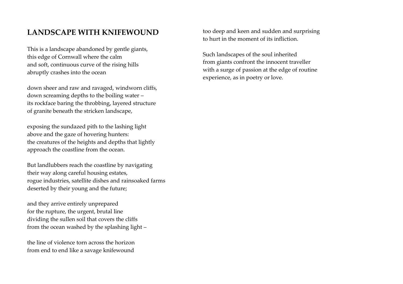### **LANDSCAPE WITH KNIFEWOUND**

This is a landscape abandoned by gentle giants, this edge of Cornwall where the calm and soft, continuous curve of the rising hills abruptly crashes into the ocean

down sheer and raw and ravaged, windworn cliffs, down screaming depths to the boiling water – its rockface baring the throbbing, layered structure of granite beneath the stricken landscape,

exposing the sundazed pith to the lashing light above and the gaze of hovering hunters: the creatures of the heights and depths that lightly approach the coastline from the ocean.

But landlubbers reach the coastline by navigating their way along careful housing estates, rogue industries, satellite dishes and rainsoaked farms deserted by their young and the future;

and they arrive entirely unprepared for the rupture, the urgent, brutal line dividing the sullen soil that covers the cliffs from the ocean washed by the splashing light –

the line of violence torn across the horizon from end to end like a savage knifewound

too deep and keen and sudden and surprising to hurt in the moment of its infliction.

Such landscapes of the soul inherited from giants confront the innocent traveller with a surge of passion at the edge of routine experience, as in poetry or love.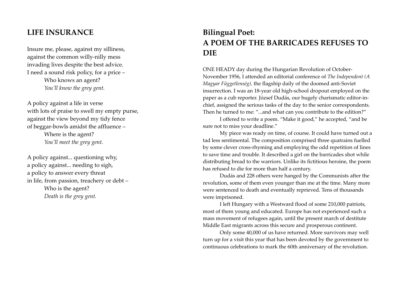#### **LIFE INSURANCE**

Insure me, please, against my silliness, against the common willy-nilly mess invading lives despite the best advice. I need a sound risk policy, for a price – Who knows an agent? *You'll know the grey gent.*

A policy against a life in verse with lots of praise to swell my empty purse, against the view beyond my tidy fence of beggar-bowls amidst the affluence – Where is the agent? *You'll meet the grey gent.*

A policy against... questioning why, a policy against... needing to sigh, a policy to answer every threat in life, from passion, treachery or debt – Who is the agent? *Death is the grey gent.*

## **Bilingual Poet: A POEM OF THE BARRICADES REFUSES TO DIE**

ONE HEADY day during the Hungarian Revolution of October-November 1956, I attended an editorial conference of *The Independent (A Magyar Függetlenség),* the flagship daily of the doomed anti-Soviet insurrection. I was an 18-year old high-school dropout employed on the paper as a cub reporter. József Dudás, our hugely charismatic editor-inchief, assigned the serious tasks of the day to the senior correspondents. Then he turned to me: "...and what can you contribute to the edition?"

I offered to write a poem. "Make it good," he accepted, "and be sure not to miss your deadline."

My piece was ready on time, of course. It could have turned out a tad less sentimental. The composition comprised three quatrains fuelled by some clever cross-rhyming and employing the odd repetition of lines to save time and trouble. It described a girl on the barricades shot while distributing bread to the warriors. Unlike its fictitious heroine, the poem has refused to die for more than half a century.

Dudás and 228 others were hanged by the Communists after the revolution, some of them even younger than me at the time. Many more were sentenced to death and eventually reprieved. Tens of thousands were imprisoned.

I left Hungary with a Westward flood of some 210,000 patriots, most of them young and educated. Europe has not experienced such a mass movement of refugees again, until the present march of destitute Middle East migrants across this secure and prosperous continent.

Only some 40,000 of us have returned. More survivors may well turn up for a visit this year that has been devoted by the government to continuous celebrations to mark the 60th anniversary of the revolution.